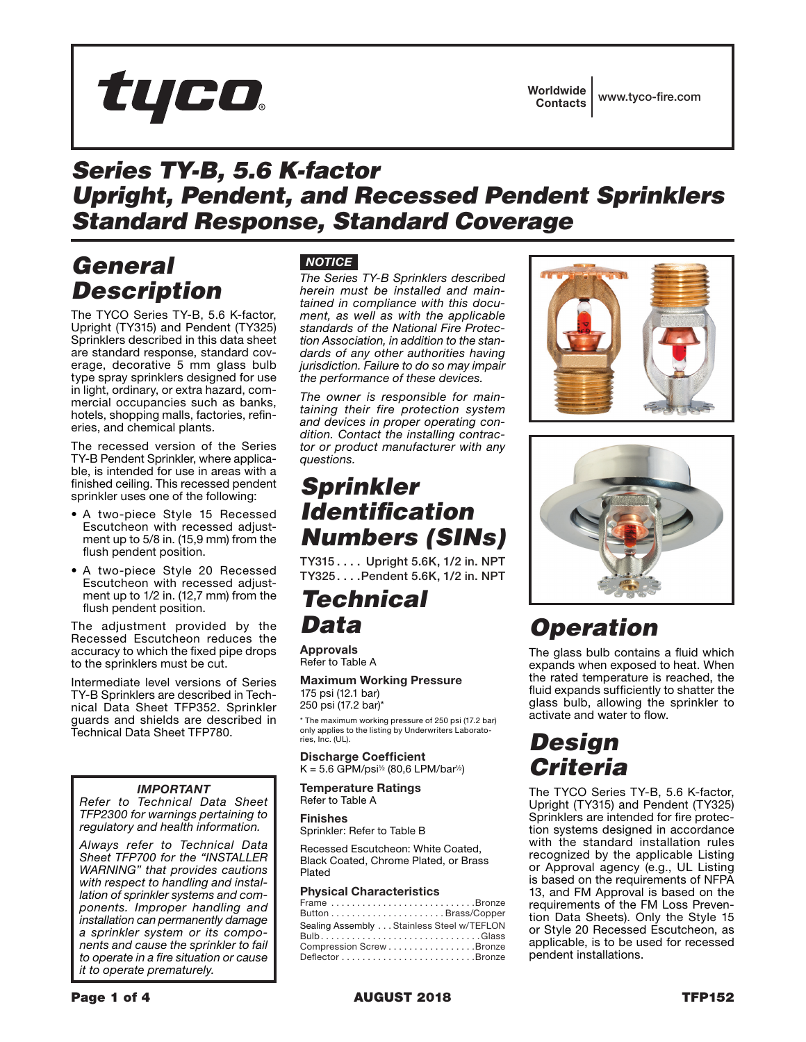

Worldwide Contacts www.tyco-fire.com

## *Series TY-B, 5.6 K-factor Upright, Pendent, and Recessed Pendent Sprinklers Standard Response, Standard Coverage*

## *General Description*

The TYCO Series TY-B, 5.6 K-factor, Upright (TY315) and Pendent (TY325) Sprinklers described in this data sheet are standard response, standard coverage, decorative 5 mm glass bulb type spray sprinklers designed for use in light, ordinary, or extra hazard, commercial occupancies such as banks, hotels, shopping malls, factories, refineries, and chemical plants.

The recessed version of the Series TY-B Pendent Sprinkler, where applicable, is intended for use in areas with a finished ceiling. This recessed pendent sprinkler uses one of the following:

- A two-piece Style 15 Recessed Escutcheon with recessed adjustment up to 5/8 in. (15,9 mm) from the flush pendent position.
- A two-piece Style 20 Recessed Escutcheon with recessed adjustment up to 1/2 in. (12,7 mm) from the flush pendent position.

The adjustment provided by the Recessed Escutcheon reduces the accuracy to which the fixed pipe drops to the sprinklers must be cut.

Intermediate level versions of Series TY-B Sprinklers are described in Technical Data Sheet TFP352. Sprinkler guards and shields are described in Technical Data Sheet TFP780.

### *IMPORTANT*

*Refer to Technical Data Sheet TFP2300 for warnings pertaining to regulatory and health information.*

*Always refer to Technical Data Sheet TFP700 for the "INSTALLER WARNING" that provides cautions with respect to handling and installation of sprinkler systems and components. Improper handling and installation can permanently damage a sprinkler system or its components and cause the sprinkler to fail to operate in a fire situation or cause it to operate prematurely.*

## *NOTICE*

*The Series TY-B Sprinklers described herein must be installed and maintained in compliance with this document, as well as with the applicable standards of the National Fire Protection Association, in addition to the standards of any other authorities having jurisdiction. Failure to do so may impair the performance of these devices.*

*The owner is responsible for maintaining their fire protection system and devices in proper operating condition. Contact the installing contractor or product manufacturer with any questions.*

## *Sprinkler Identification Numbers (SINs)*

TY315.... Upright 5.6K, 1/2 in. NPT TY325....Pendent 5.6K, 1/2 in, NPT

## *Technical Data*

Approvals Refer to Table A

Maximum Working Pressure 175 psi (12.1 bar) 250 psi (17.2 bar)\*

\* The maximum working pressure of 250 psi (17.2 bar) only applies to the listing by Underwriters Laboratories, Inc. (UL).

Discharge Coefficient  $K = 5.6$  GPM/psi<sup>1/2</sup> (80,6 LPM/bar<sup>1/2</sup>)

Temperature Ratings Refer to Table A

Finishes

Sprinkler: Refer to Table B

Recessed Escutcheon: White Coated, Black Coated, Chrome Plated, or Brass Plated

### Physical Characteristics

| Frame Bronze                              |
|-------------------------------------------|
|                                           |
| Sealing Assembly Stainless Steel w/TEFLON |
| $Bulb$ Glass                              |
| Compression Screw Bronze                  |
|                                           |
|                                           |





# *Operation*

The glass bulb contains a fluid which expands when exposed to heat. When the rated temperature is reached, the fluid expands sufficiently to shatter the glass bulb, allowing the sprinkler to activate and water to flow.

# *Design Criteria*

The TYCO Series TY-B, 5.6 K-factor, Upright (TY315) and Pendent (TY325) Sprinklers are intended for fire protection systems designed in accordance with the standard installation rules recognized by the applicable Listing or Approval agency (e.g., UL Listing is based on the requirements of NFPA 13, and FM Approval is based on the requirements of the FM Loss Prevention Data Sheets). Only the Style 15 or Style 20 Recessed Escutcheon, as applicable, is to be used for recessed pendent installations.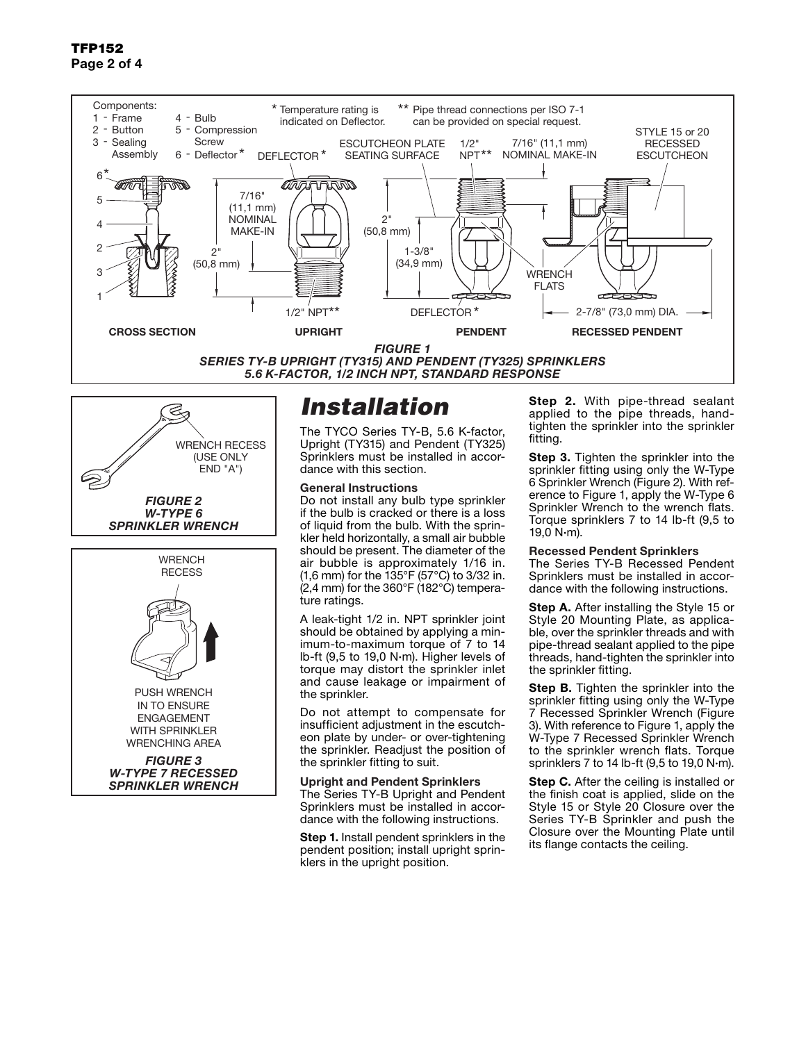### TFP152 Page 2 of 4



*SERIES TY-B UPRIGHT (TY315) AND PENDENT (TY325) SPRINKLERS 5.6 K-FACTOR, 1/2 INCH NPT, STANDARD RESPONSE*



*FIGURE 3 W-TYPE 7 RECESSED SPRINKLER WRENCH*

# *Installation*

The TYCO Series TY-B, 5.6 K-factor, Upright (TY315) and Pendent (TY325) Sprinklers must be installed in accordance with this section.

### General Instructions

Do not install any bulb type sprinkler if the bulb is cracked or there is a loss of liquid from the bulb. With the sprinkler held horizontally, a small air bubble should be present. The diameter of the air bubble is approximately 1/16 in. (1,6 mm) for the 135°F (57°C) to 3/32 in. (2,4 mm) for the 360°F (182°C) temperature ratings.

A leak-tight 1/2 in. NPT sprinkler joint should be obtained by applying a minimum-to-maximum torque of 7 to 14 lb-ft (9,5 to 19,0 N·m). Higher levels of torque may distort the sprinkler inlet and cause leakage or impairment of the sprinkler.

Do not attempt to compensate for insufficient adjustment in the escutcheon plate by under- or over-tightening the sprinkler. Readjust the position of the sprinkler fitting to suit.

Upright and Pendent Sprinklers The Series TY-B Upright and Pendent Sprinklers must be installed in accordance with the following instructions.

**Step 1.** Install pendent sprinklers in the pendent position; install upright sprinklers in the upright position.

**Step 2.** With pipe-thread sealant applied to the pipe threads, handtighten the sprinkler into the sprinkler fitting.

**Step 3.** Tighten the sprinkler into the sprinkler fitting using only the W-Type 6 Sprinkler Wrench (Figure 2). With reference to Figure 1, apply the W-Type 6 Sprinkler Wrench to the wrench flats. Torque sprinklers 7 to 14 lb-ft (9,5 to  $19,0 \text{ N}\cdot\text{m}$ ).

#### Recessed Pendent Sprinklers

The Series TY-B Recessed Pendent Sprinklers must be installed in accordance with the following instructions.

**Step A.** After installing the Style 15 or Style 20 Mounting Plate, as applicable, over the sprinkler threads and with pipe-thread sealant applied to the pipe threads, hand-tighten the sprinkler into the sprinkler fitting.

**Step B.** Tighten the sprinkler into the sprinkler fitting using only the W-Type 7 Recessed Sprinkler Wrench (Figure 3). With reference to Figure 1, apply the W-Type 7 Recessed Sprinkler Wrench to the sprinkler wrench flats. Torque sprinklers 7 to 14 lb-ft (9,5 to 19,0 N·m).

**Step C.** After the ceiling is installed or the finish coat is applied, slide on the Style 15 or Style 20 Closure over the Series TY-B Sprinkler and push the Closure over the Mounting Plate until its flange contacts the ceiling.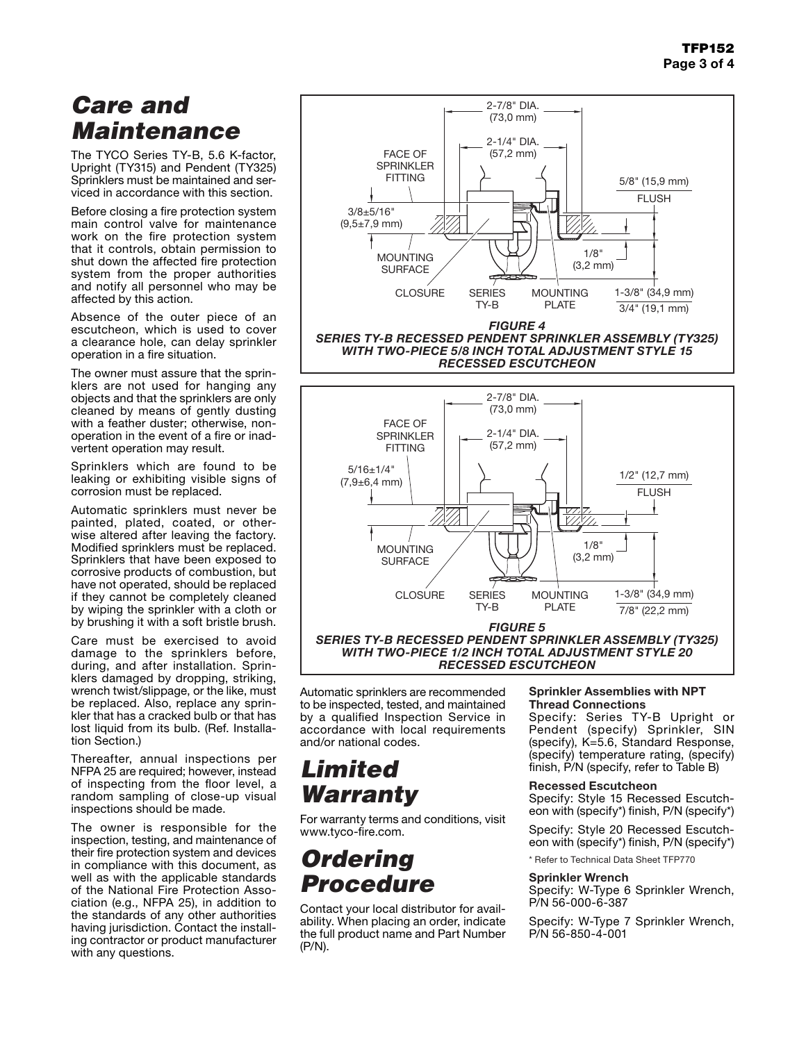## *Care and Maintenance*

The TYCO Series TY-B, 5.6 K-factor, Upright (TY315) and Pendent (TY325) Sprinklers must be maintained and serviced in accordance with this section.

Before closing a fire protection system main control valve for maintenance work on the fire protection system that it controls, obtain permission to shut down the affected fire protection system from the proper authorities and notify all personnel who may be affected by this action.

Absence of the outer piece of an escutcheon, which is used to cover a clearance hole, can delay sprinkler operation in a fire situation.

The owner must assure that the sprinklers are not used for hanging any objects and that the sprinklers are only cleaned by means of gently dusting with a feather duster; otherwise, nonoperation in the event of a fire or inadvertent operation may result.

Sprinklers which are found to be leaking or exhibiting visible signs of corrosion must be replaced.

Automatic sprinklers must never be painted, plated, coated, or otherwise altered after leaving the factory. Modified sprinklers must be replaced. Sprinklers that have been exposed to corrosive products of combustion, but have not operated, should be replaced if they cannot be completely cleaned by wiping the sprinkler with a cloth or by brushing it with a soft bristle brush.

Care must be exercised to avoid damage to the sprinklers before, during, and after installation. Sprinklers damaged by dropping, striking, wrench twist/slippage, or the like, must be replaced. Also, replace any sprinkler that has a cracked bulb or that has lost liquid from its bulb. (Ref. Installation Section.)

Thereafter, annual inspections per NFPA 25 are required; however, instead of inspecting from the floor level, a random sampling of close-up visual inspections should be made.

The owner is responsible for the inspection, testing, and maintenance of their fire protection system and devices in compliance with this document, as well as with the applicable standards of the National Fire Protection Association (e.g., NFPA 25), in addition to the standards of any other authorities having jurisdiction. Contact the installing contractor or product manufacturer with any questions.

Automatic sprinklers are recommended to be inspected, tested, and maintained by a qualified Inspection Service in accordance with local requirements and/or national codes.

# *Limited Warranty*

For warranty terms and conditions, visit www.tyco-fire.com.

## *Ordering Procedure*

Contact your local distributor for availability. When placing an order, indicate the full product name and Part Number (P/N).

### Sprinkler Assemblies with NPT Thread Connections

Specify: Series TY-B Upright or Pendent (specify) Sprinkler, SIN (specify), K=5.6, Standard Response, (specify) temperature rating, (specify) finish, P/N (specify, refer to Table B)

### Recessed Escutcheon

Specify: Style 15 Recessed Escutcheon with (specify\*) finish, P/N (specify\*)

Specify: Style 20 Recessed Escutcheon with (specify\*) finish, P/N (specify\*)

\* Refer to Technical Data Sheet TFP770

### Sprinkler Wrench

Specify: W-Type 6 Sprinkler Wrench, P/N 56-000-6-387

Specify: W-Type 7 Sprinkler Wrench, P/N 56-850-4-001





*WITH TWO-PIECE 1/2 INCH TOTAL ADJUSTMENT STYLE 20 RECESSED ESCUTCHEON*